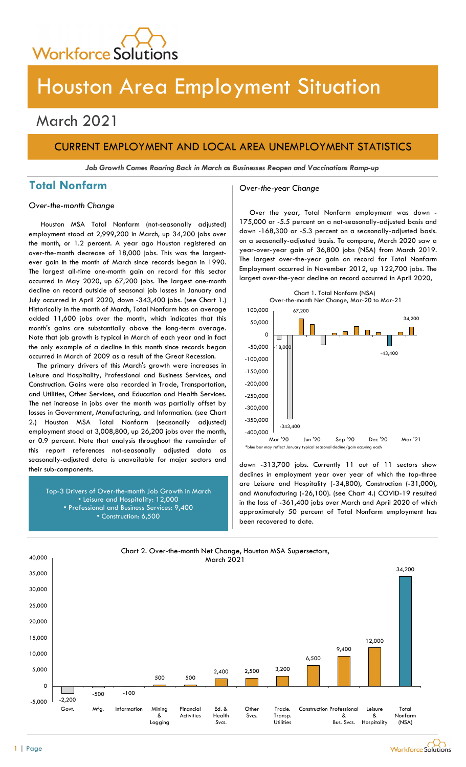

# Houston Area Employment Situation

## March 2021

## CURRENT EMPLOYMENT AND LOCAL AREA UNEMPLOYMENT STATISTICS

Job Growth Comes Roaring Back in March as Businesses Reopen and Vaccinations Ramp-up

## Total Nonfarm and Cover-the-year Change

Over-the-month Change

Houston MSA Total Nonfarm (not-seasonally adjusted) employment stood at 2,999,200 in March, up 34,200 jobs over the month, or 1.2 percent. A year ago Houston registered an over-the-month decrease of 18,000 jobs. This was the largestever gain in the month of March since records began in 1990. The largest all-time one-month gain on record for this sector occurred in May 2020, up 67,200 jobs. The largest one-month decline on record outside of seasonal job losses in January and July occurred in April 2020, down -343,400 jobs. (see Chart 1.) Historically in the month of March, Total Nonfarm has on average added 11,600 jobs over the month, which indicates that this month's gains are substantially above the long-term average. Note that job growth is typical in March of each year and in fact the only example of a decline in this month since records began occurred in March of 2009 as a result of the Great Recession.

The primary drivers of this March's growth were increases in Leisure and Hospitality, Professional and Business Services, and Construction. Gains were also recorded in Trade, Transportation, and Utilities, Other Services, and Education and Health Services. The net increase in jobs over the month was partially offset by losses in Government, Manufacturing, and Information. (see Chart 2.) Houston MSA Total Nonfarm (seasonally adjusted) employment stood at 3,008,800, up 26,200 jobs over the month, or 0.9 percent. Note that analysis throughout the remainder of this report references not-seasonally adjusted data as seasonally-adjusted data is unavailable for major sectors and their sub-components.

Top-3 Drivers of Over-the-month Job Growth in March • Leisure and Hospitality: 12,000 • Professional and Business Services: 9,400 • Construction: 6,500

Over the year, Total Nonfarm employment was down - 175,000 or -5.5 percent on a not-seasonally-adjusted basis and down -168,300 or -5.3 percent on a seasonally-adjusted basis. on a seasonally-adjusted basis. To compare, March 2020 saw a year-over-year gain of 36,800 jobs (NSA) from March 2019. The largest over-the-year gain on record for Total Nonfarm Employment occurred in November 2012, up 122,700 jobs. The largest over-the-year decline on record occurred in April 2020,



declines in employment year over year of which the top-three are Leisure and Hospitality (-34,800), Construction (-31,000), and Manufacturing (-26,100). (see Chart 4.) COVID-19 resulted in the loss of -361,400 jobs over March and April 2020 of which approximately 50 percent of Total Nonfarm employment has been recovered to date.



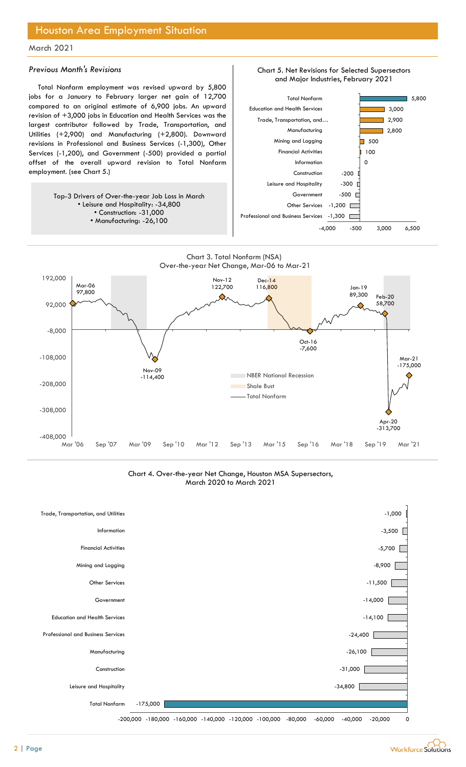## Houston Area Employment Situation

### March 2021

### Previous Month's Revisions

Total Nonfarm employment was revised upward by 5,800 jobs for a January to February larger net gain of 12,700 compared to an original estimate of 6,900 jobs. An upward revision of +3,000 jobs in Education and Health Services was the largest contributor followed by Trade, Transportation, and Utilities (+2,900) and Manufacturing (+2,800). Downward revisions in Professional and Business Services (-1,300), Other Services (-1,200), and Government (-500) provided a partial offset of the overall upward revision to Total Nonfarm employment. (see Chart 5.)

> Top-3 Drivers of Over-the-year Job Loss in March • Leisure and Hospitality: -34,800 • Construction: -31,000 • Manufacturing: -26,100







Chart 4. Over-the-year Net Change, Houston MSA Supersectors, March 2020 to March 2021



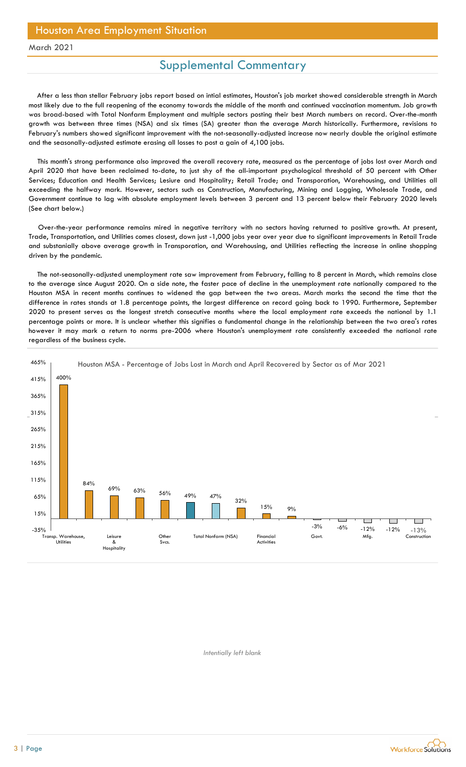## Supplemental Commentary

After a less than stellar February jobs report based on intial estimates, Houston's job market showed considerable strength in March most likely due to the full reopening of the economy towards the middle of the month and continued vaccination momentum. Job growth was broad-based with Total Nonfarm Employment and multiple sectors posting their best March numbers on record. Over-the-month growth was between three times (NSA) and six times (SA) greater than the average March historically. Furthermore, revisions to February's numbers showed significant improvement with the not-seasonally-adjusted increase now nearly double the original estimate and the seasonally-adjusted estimate erasing all losses to post a gain of 4,100 jobs.

This month's strong performance also improved the overall recovery rate, measured as the percentage of jobs lost over March and April 2020 that have been reclaimed to-date, to just shy of the all-important psychological threshold of 50 percent with Other Services; Education and Health Services; Lesiure and Hospitality; Retail Trade; and Transporation, Warehousing, and Utilities all exceeding the halfway mark. However, sectors such as Construction, Manufacturing, Mining and Logging, Wholesale Trade, and Government continue to lag with absolute employment levels between 3 percent and 13 percent below their February 2020 levels (See chart below.)

Over-the-year performance remains mired in negative territory with no sectors having returned to positive growth. At present, Trade, Transportation, and Utilities comes closest, down just -1,000 jobs year over year due to significant improvements in Retail Trade and substanially above average growth in Transporation, and Warehousing, and Utilities reflecting the increase in online shopping driven by the pandemic.

The not-seasonally-adjusted unemployment rate saw improvement from February, falling to 8 percent in March, which remains close to the average since August 2020. On a side note, the faster pace of decline in the unemployment rate nationally compared to the Houston MSA in recent months continues to widened the gap between the two areas. March marks the second the time that the difference in rates stands at 1.8 percentage points, the largest difference on record going back to 1990. Furthermore, September 2020 to present serves as the longest stretch consecutive months where the local employment rate exceeds the national by 1.1 percentage points or more. It is unclear whether this signifies a fundamental change in the relationship between the two area's rates however it may mark a return to norms pre-2006 where Houston's unemployment rate consistently exceeded the national rate regardless of the business cycle.



Intentially left blank

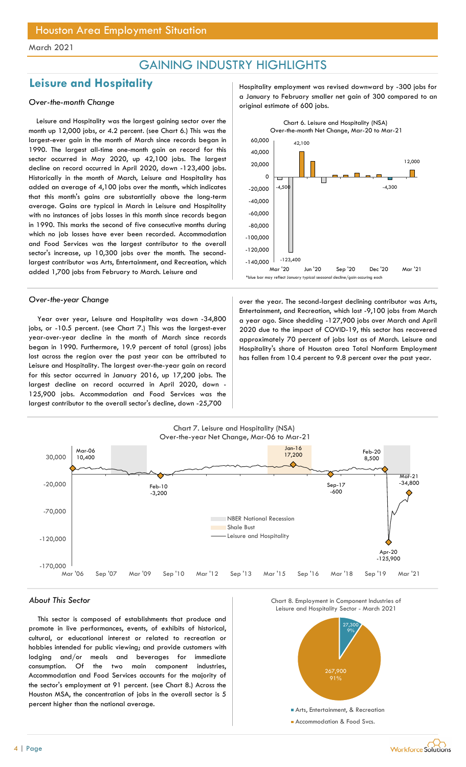## GAINING INDUSTRY HIGHLIGHTS

## Leisure and Hospitality **Hospitality** Hospitality employment was revised downward by -300 jobs for

Leisure and Hospitality was the largest gaining sector over the month up 12,000 jobs, or 4.2 percent. (see Chart 6.) This was the largest-ever gain in the month of March since records began in 1990. The largest all-time one-month gain on record for this sector occurred in May 2020, up 42,100 jobs. The largest decline on record occurred in April 2020, down -123,400 jobs. Historically in the month of March, Leisure and Hospitality has added an average of 4,100 jobs over the month, which indicates that this month's gains are substantially above the long-term average. Gains are typical in March in Leisure and Hospitality with no instances of jobs losses in this month since records began in 1990. This marks the second of five consecutive months during which no job losses have ever been recorded. Accommodation and Food Services was the largest contributor to the overall sector's increase, up 10,300 jobs over the month. The secondlargest contributor was Arts, Entertainment, and Recreation, which added 1,700 jobs from February to March. Leisure and

Year over year, Leisure and Hospitality was down -34,800 jobs, or -10.5 percent. (see Chart 7.) This was the largest-ever year-over-year decline in the month of March since records began in 1990. Furthermore, 19.9 percent of total (gross) jobs lost across the region over the past year can be attributed to Leisure and Hospitality. The largest over-the-year gain on record for this sector occurred in January 2016, up 17,200 jobs. The largest decline on record occurred in April 2020, down - 125,900 jobs. Accommodation and Food Services was the largest contributor to the overall sector's decline, down -25,700

a January to February smaller net gain of 300 compared to an over-the-month Change original estimate of 600 jobs.



Over-the-year Change and a second-largest declining contributor was Arts, Entertainment, and Recreation, which lost -9,100 jobs from March a year ago. Since shedding -127,900 jobs over March and April 2020 due to the impact of COVID-19, this sector has recovered approximately 70 percent of jobs lost as of March. Leisure and Hospitality's share of Houston area Total Nonfarm Employment has fallen from 10.4 percent to 9.8 percent over the past year.



### About This Sector

This sector is composed of establishments that produce and promote in live performances, events, of exhibits of historical, cultural, or educational interest or related to recreation or hobbies intended for public viewing; and provide customers with lodging and/or meals and beverages for immediate consumption. Of the two main component industries, Accommodation and Food Services accounts for the majority of the sector's employment at 91 percent. (see Chart 8.) Across the Houston MSA, the concentration of jobs in the overall sector is 5 percent higher than the national average.





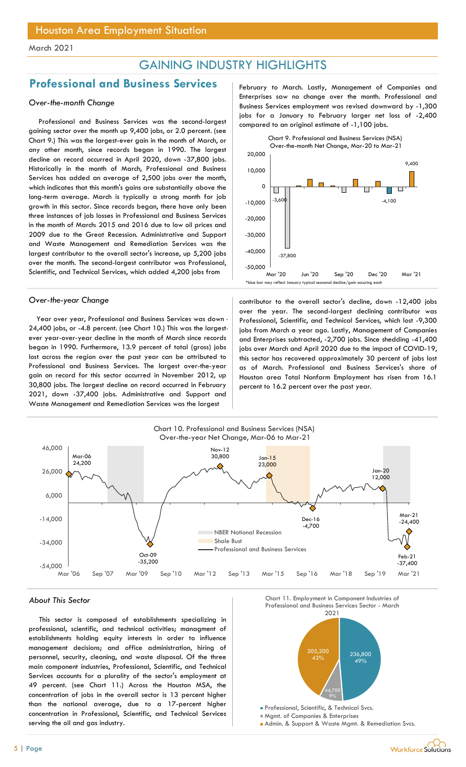## GAINING INDUSTRY HIGHLIGHTS

## Professional and Business Services February to March. Lastly, Management of Companies and

### Over-the-month Change

Professional and Business Services was the second-largest gaining sector over the month up 9,400 jobs, or 2.0 percent. (see Chart 9.) This was the largest-ever gain in the month of March, or any other month, since records began in 1990. The largest decline on record occurred in April 2020, down -37,800 jobs. Historically in the month of March, Professional and Business Services has added an average of 2,500 jobs over the month, which indicates that this month's gains are substantially above the long-term average. March is typically a strong month for job growth in this sector. Since records began, there have only been three instances of job losses in Professional and Business Services in the month of March: 2015 and 2016 due to low oil prices and 2009 due to the Great Recession. Administrative and Support and Waste Management and Remediation Services was the largest contributor to the overall sector's increase, up 5,200 jobs over the month. The second-largest contributor was Professional, Scientific, and Technical Services, which added 4,200 jobs from

Year over year, Professional and Business Services was down - 24,400 jobs, or -4.8 percent. (see Chart 10.) This was the largestever year-over-year decline in the month of March since records began in 1990. Furthermore, 13.9 percent of total (gross) jobs lost across the region over the past year can be attributed to Professional and Business Services. The largest over-the-year gain on record for this sector occurred in November 2012, up 30,800 jobs. The largest decline on record occurred in February 2021, down -37,400 jobs. Administrative and Support and Waste Management and Remediation Services was the largest

Enterprises saw no change over the month. Professional and Business Services employment was revised downward by -1,300 jobs for a January to February larger net loss of -2,400 compared to an original estimate of -1,100 jobs.



Over-the-year Change and the contributor to the overall sector's decline, down -12,400 jobs over the year. The second-largest declining contributor was Professional, Scientific, and Technical Services, which lost -9,300 jobs from March a year ago. Lastly, Management of Companies and Enterprises subtracted, -2,700 jobs. Since shedding -41,400 jobs over March and April 2020 due to the impact of COVID-19, this sector has recovered approximately 30 percent of jobs lost as of March. Professional and Business Services's share of Houston area Total Nonfarm Employment has risen from 16.1 percent to 16.2 percent over the past year.



This sector is composed of establishments specializing in professional, scientific, and technical activities; managment of establishments holding equity interests in order to influence management decisions; and office administration, hiring of personnel, security, cleaning, and waste disposal. Of the three main component industries, Professional, Scientific, and Technical Services accounts for a plurality of the sector's employment at 49 percent. (see Chart 11.) Across the Houston MSA, the concentration of jobs in the overall sector is 13 percent higher than the national average, due to a 17-percent higher concentration in Professional, Scientific, and Technical Services serving the oil and gas industry.





Mgmt. of Companies & Enterprises

**Admin. & Support & Waste Mgmt. & Remediation Svcs.**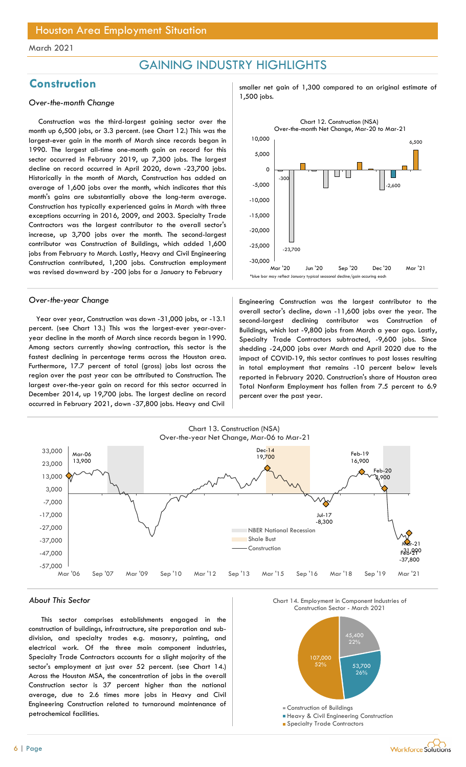## GAINING INDUSTRY HIGHLIGHTS

## 1,500 jobs. Over-the-month Change

Construction was the third-largest gaining sector over the month up 6,500 jobs, or 3.3 percent. (see Chart 12.) This was the largest-ever gain in the month of March since records began in 1990. The largest all-time one-month gain on record for this sector occurred in February 2019, up 7,300 jobs. The largest decline on record occurred in April 2020, down -23,700 jobs. Historically in the month of March, Construction has added an average of 1,600 jobs over the month, which indicates that this month's gains are substantially above the long-term average. Construction has typically experienced gains in March with three exceptions occurring in 2016, 2009, and 2003. Specialty Trade Contractors was the largest contributor to the overall sector's increase, up 3,700 jobs over the month. The second-largest contributor was Construction of Buildings, which added 1,600 jobs from February to March. Lastly, Heavy and Civil Engineering Construction contributed, 1,200 jobs. Construction employment was revised downward by -200 jobs for a January to February

Year over year, Construction was down -31,000 jobs, or -13.1 percent. (see Chart 13.) This was the largest-ever year-overyear decline in the month of March since records began in 1990. Among sectors currently showing contraction, this sector is the fastest declining in percentage terms across the Houston area. Furthermore, 17.7 percent of total (gross) jobs lost across the region over the past year can be attributed to Construction. The largest over-the-year gain on record for this sector occurred in December 2014, up 19,700 jobs. The largest decline on record occurred in February 2021, down -37,800 jobs. Heavy and Civil

Construction subsetsed and the smaller net gain of 1,300 compared to an original estimate of



Over-the-year Change Engineering Construction was the largest contributor to the overall sector's decline, down -11,600 jobs over the year. The second-largest declining contributor was Construction of Buildings, which lost -9,800 jobs from March a year ago. Lastly, Specialty Trade Contractors subtracted, -9,600 jobs. Since shedding -24,000 jobs over March and April 2020 due to the impact of COVID-19, this sector continues to post losses resulting in total employment that remains -10 percent below levels reported in February 2020. Construction's share of Houston area Total Nonfarm Employment has fallen from 7.5 percent to 6.9 percent over the past year.



### About This Sector

This sector comprises establishments engaged in the construction of buildings, infrastructure, site preparation and subdivision, and specialty trades e.g. masonry, painting, and electrical work. Of the three main component industries, Specialty Trade Contractors accounts for a slight majority of the sector's employment at just over 52 percent. (see Chart 14.) Across the Houston MSA, the concentration of jobs in the overall Construction sector is 37 percent higher than the national average, due to 2.6 times more jobs in Heavy and Civil Engineering Construction related to turnaround maintenance of petrochemical facilities.





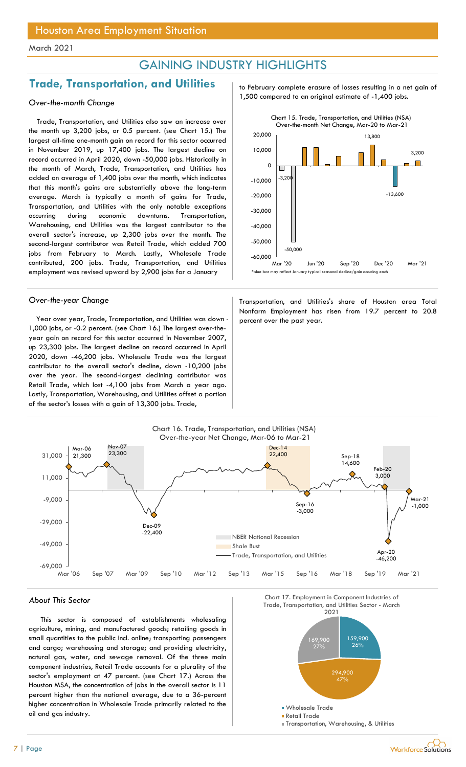## GAINING INDUSTRY HIGHLIGHTS

## Trade, Transportation, and Utilities prodes to February complete erasure of losses resulting in a net gain of

Trade, Transportation, and Utilities also saw an increase over the month up 3,200 jobs, or 0.5 percent. (see Chart 15.) The largest all-time one-month gain on record for this sector occurred in November 2019, up 17,400 jobs. The largest decline on record occurred in April 2020, down -50,000 jobs. Historically in the month of March, Trade, Transportation, and Utilities has added an average of 1,400 jobs over the month, which indicates that this month's gains are substantially above the long-term average. March is typically a month of gains for Trade, Transportation, and Utilities with the only notable exceptions occurring during economic downturns. Transportation, Warehousing, and Utilities was the largest contributor to the overall sector's increase, up 2,300 jobs over the month. The second-largest contributor was Retail Trade, which added 700 jobs from February to March. Lastly, Wholesale Trade contributed, 200 jobs. Trade, Transportation, and Utilities employment was revised upward by 2,900 jobs for a January

Year over year, Trade, Transportation, and Utilities was down  $\cdot$  percent over the past year. 1,000 jobs, or -0.2 percent. (see Chart 16.) The largest over-theyear gain on record for this sector occurred in November 2007, up 23,300 jobs. The largest decline on record occurred in April 2020, down -46,200 jobs. Wholesale Trade was the largest contributor to the overall sector's decline, down -10,200 jobs over the year. The second-largest declining contributor was Retail Trade, which lost -4,100 jobs from March a year ago. Lastly, Transportation, Warehousing, and Utilities offset a portion of the sector's losses with a gain of 13,300 jobs. Trade,

1,500 compared to an original estimate of -1,400 jobs. Over-the-month Change



Over-the-year Change Transportation, and Utilities's share of Houston area Total Nonfarm Employment has risen from 19.7 percent to 20.8



This sector is composed of establishments wholesaling agriculture, mining, and manufactured goods; retailing goods in small quantities to the public incl. online; transporting passengers and cargo; warehousing and storage; and providing electricity, natural gas, water, and sewage removal. Of the three main component industries, Retail Trade accounts for a plurality of the sector's employment at 47 percent. (see Chart 17.) Across the Houston MSA, the concentration of jobs in the overall sector is 11 percent higher than the national average, due to a 36-percent higher concentration in Wholesale Trade primarily related to the oil and gas industry.

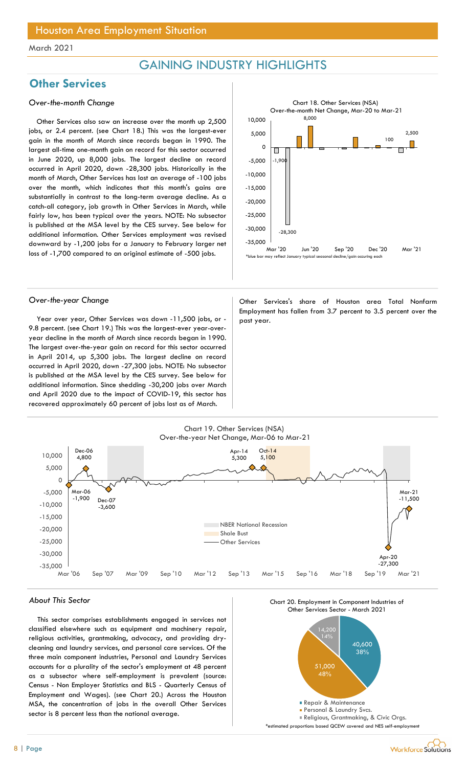## GAINING INDUSTRY HIGHLIGHTS

## **Other Services**

### Over-the-month Change

Other Services also saw an increase over the month up 2,500 jobs, or 2.4 percent. (see Chart 18.) This was the largest-ever gain in the month of March since records began in 1990. The largest all-time one-month gain on record for this sector occurred in June 2020, up 8,000 jobs. The largest decline on record occurred in April 2020, down -28,300 jobs. Historically in the month of March, Other Services has lost an average of -100 jobs over the month, which indicates that this month's gains are substantially in contrast to the long-term average decline. As a catch-all category, job growth in Other Services in March, while fairly low, has been typical over the years. NOTE: No subsector is published at the MSA level by the CES survey. See below for additional information. Other Services employment was revised downward by -1,200 jobs for a January to February larger net loss of -1,700 compared to an original estimate of -500 jobs.



Year over year, Other Services was down -11,500 jobs, or -  $\vert$  past year. 9.8 percent. (see Chart 19.) This was the largest-ever year-overyear decline in the month of March since records began in 1990. The largest over-the-year gain on record for this sector occurred in April 2014, up 5,300 jobs. The largest decline on record occurred in April 2020, down -27,300 jobs. NOTE: No subsector is published at the MSA level by the CES survey. See below for additional information. Since shedding -30,200 jobs over March and April 2020 due to the impact of COVID-19, this sector has recovered approximately 60 percent of jobs lost as of March.

Over-the-year Change **Other Services's share of Houston area Total Nonfarm** Employment has fallen from 3.7 percent to 3.5 percent over the



### About This Sector

This sector comprises establishments engaged in services not classified elsewhere such as equipment and machinery repair, religious activities, grantmaking, advocacy, and providing drycleaning and laundry services, and personal care services. Of the three main component industries, Personal and Laundry Services accounts for a plurality of the sector's employment at 48 percent as a subsector where self-employment is prevalent (source: Census - Non Employer Statistics and BLS - Quarterly Census of Employment and Wages). (see Chart 20.) Across the Houston MSA, the concentration of jobs in the overall Other Services sector is 8 percent less than the national average.





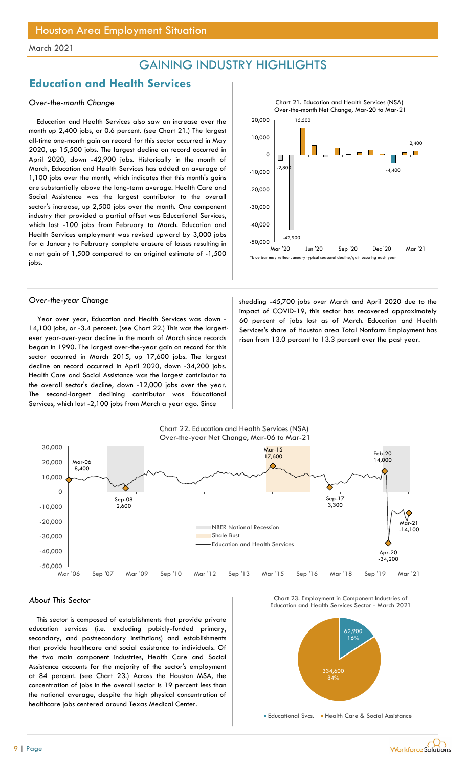## GAINING INDUSTRY HIGHLIGHTS

## Education and Health Services

### Over-the-month Change

Education and Health Services also saw an increase over the month up 2,400 jobs, or 0.6 percent. (see Chart 21.) The largest all-time one-month gain on record for this sector occurred in May 2020, up 15,500 jobs. The largest decline on record occurred in April 2020, down -42,900 jobs. Historically in the month of March, Education and Health Services has added an average of 1,100 jobs over the month, which indicates that this month's gains are substantially above the long-term average. Health Care and Social Assistance was the largest contributor to the overall sector's increase, up 2,500 jobs over the month. One component industry that provided a partial offset was Educational Services, which lost -100 jobs from February to March. Education and Health Services employment was revised upward by 3,000 jobs for a January to February complete erasure of losses resulting in a net gain of 1,500 compared to an original estimate of -1,500 jobs.

Year over year, Education and Health Services was down - 14,100 jobs, or -3.4 percent. (see Chart 22.) This was the largestever year-over-year decline in the month of March since records began in 1990. The largest over-the-year gain on record for this sector occurred in March 2015, up 17,600 jobs. The largest decline on record occurred in April 2020, down -34,200 jobs. Health Care and Social Assistance was the largest contributor to the overall sector's decline, down -12,000 jobs over the year. The second-largest declining contributor was Educational Services, which lost -2,100 jobs from March a year ago. Since

10,000 -2,800 | 1.400 | 1.400 | 1.400 | 1.400 | 1.400 | 1.400 | 1.400 | 1.400 | 1.400 | 1.400 | 1.400 | 1.400 | 1.400 | 1.400 | 1.400 | 1.400 | 1.400 | 1.400 | 1.400 | 1.400 | 1.400 | 1.400 | 1.400 | 1.400 | 1.400 | 1.400 | 1.400 -42,900 15,500 -4,400 2,400  $-50,000$   $-42,900$ -40,000 -30,000 -20,000  $-10,000$   $-4,400$ ᠐├<del>╗┈╗╘╝╷╙╌╝╌╌╸╒╝╚┥╼┈╔┈</del>╹ 10,000 15,500  $\begin{array}{r|l}\n\hline\n\text{Start 21. Education and Health Services (NSA)}\n\text{Over-the-month Net Change, Mar-20 to Mar-21}\n\hline\n\end{array}\n\qquad\n\begin{array}{r|l}\n\hline\n\end{array}\n\qquad\n\begin{array}{r|l}\n\hline\n\end{array}\n\qquad\n\begin{array}{r|l}\n\hline\n\end{array}\n\qquad\n\begin{array}{r|l}\n\hline\n\end{array}\n\qquad\n\begin{array}{r|l}\n\hline\n\end{array}\n\qquad\n\begin{array}{r|l}\n\hline\n\end{array}\n\qquad\n\begin{array}{r|l}\n$ Chart 21. Education and Health Services (NSA) Over-the-month Net Change, Mar-20 to Mar-21 \*blue bar may reflect January typical seasonal decline/gain occuring each year

Over-the-year Change shedding -45,700 jobs over March and April 2020 due to the impact of COVID-19, this sector has recovered approximately 60 percent of jobs lost as of March. Education and Health Services's share of Houston area Total Nonfarm Employment has risen from 13.0 percent to 13.3 percent over the past year.



This sector is composed of establishments that provide private education services (i.e. excluding pubicly-funded primary, secondary, and postsecondary institutions) and establishments that provide healthcare and social assistance to individuals. Of the two main component industries, Health Care and Social Assistance accounts for the majority of the sector's employment at 84 percent. (see Chart 23.) Across the Houston MSA, the concentration of jobs in the overall sector is 19 percent less than the national average, despite the high physical concentration of healthcare jobs centered around Texas Medical Center.





Educational Svcs. Health Care & Social Assistance

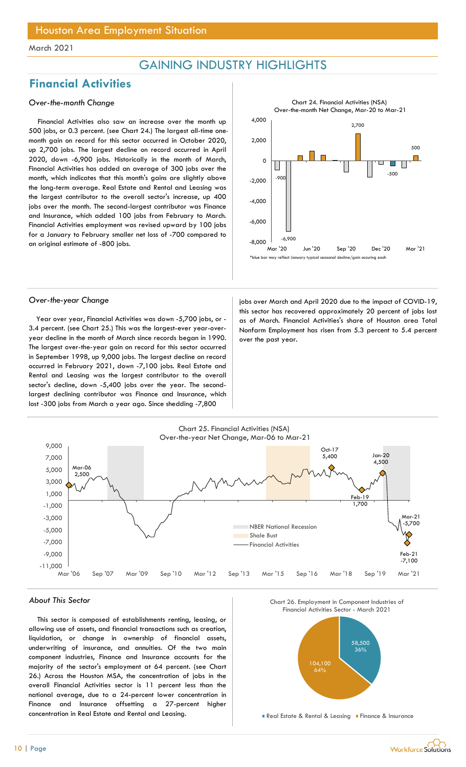## GAINING INDUSTRY HIGHLIGHTS

## Financial Activities

### Over-the-month Change

Financial Activities also saw an increase over the month up 500 jobs, or 0.3 percent. (see Chart 24.) The largest all-time onemonth gain on record for this sector occurred in October 2020, up 2,700 jobs. The largest decline on record occurred in April 2020, down -6,900 jobs. Historically in the month of March, Financial Activities has added an average of 300 jobs over the month, which indicates that this month's gains are slightly above the long-term average. Real Estate and Rental and Leasing was the largest contributor to the overall sector's increase, up 400 jobs over the month. The second-largest contributor was Finance and Insurance, which added 100 jobs from February to March. Financial Activities employment was revised upward by 100 jobs for a January to February smaller net loss of -700 compared to an original estimate of -800 jobs.



Year over year, Financial Activities was down -5,700 jobs, or - 3.4 percent. (see Chart 25.) This was the largest-ever year-overyear decline in the month of March since records began in 1990. The largest over-the-year gain on record for this sector occurred in September 1998, up 9,000 jobs. The largest decline on record occurred in February 2021, down -7,100 jobs. Real Estate and Rental and Leasing was the largest contributor to the overall sector's decline, down -5,400 jobs over the year. The secondlargest declining contributor was Finance and Insurance, which lost -300 jobs from March a year ago. Since shedding -7,800

Over-the-year Change in the impact of COVID-19, jobs over March and April 2020 due to the impact of COVID-19, this sector has recovered approximately 20 percent of jobs lost as of March. Financial Activities's share of Houston area Total Nonfarm Employment has risen from 5.3 percent to 5.4 percent over the past year.



### About This Sector

This sector is composed of establishments renting, leasing, or allowing use of assets, and financial transactions such as creation, liquidation, or change in ownership of financial assets, underwriting of insurance, and annuities. Of the two main component industries, Finance and Insurance accounts for the majority of the sector's employment at 64 percent. (see Chart 26.) Across the Houston MSA, the concentration of jobs in the overall Financial Activities sector is 11 percent less than the national average, due to a 24-percent lower concentration in Finance and Insurance offsetting a 27-percent higher concentration in Real Estate and Rental and Leasing.





**Real Estate & Rental & Leasing Finance & Insurance**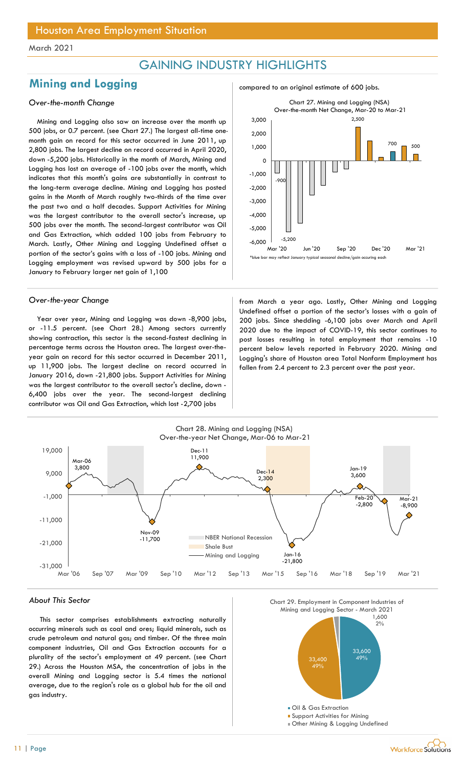## GAINING INDUSTRY HIGHLIGHTS

## Mining and Logging and  $\frac{1}{2}$  compared to an original estimate of 600 jobs.

### Over-the-month Change

Mining and Logging also saw an increase over the month up 500 jobs, or 0.7 percent. (see Chart 27.) The largest all-time onemonth gain on record for this sector occurred in June 2011, up 2,800 jobs. The largest decline on record occurred in April 2020, down -5,200 jobs. Historically in the month of March, Mining and Logging has lost an average of -100 jobs over the month, which indicates that this month's gains are substantially in contrast to the long-term average decline. Mining and Logging has posted gains in the Month of March roughly two-thirds of the time over the past two and a half decades. Support Activities for Mining was the largest contributor to the overall sector's increase, up 500 jobs over the month. The second-largest contributor was Oil and Gas Extraction, which added 100 jobs from February to March. Lastly, Other Mining and Logging Undefined offset a portion of the sector's gains with a loss of -100 jobs. Mining and Logging employment was revised upward by 500 jobs for a January to February larger net gain of 1,100

Year over year, Mining and Logging was down -8,900 jobs, or -11.5 percent. (see Chart 28.) Among sectors currently showing contraction, this sector is the second-fastest declining in percentage terms across the Houston area. The largest over-theyear gain on record for this sector occurred in December 2011, up 11,900 jobs. The largest decline on record occurred in January 2016, down -21,800 jobs. Support Activities for Mining was the largest contributor to the overall sector's decline, down - 6,400 jobs over the year. The second-largest declining contributor was Oil and Gas Extraction, which lost -2,700 jobs





Over-the-year Change from March a year ago. Lastly, Other Mining and Logging Undefined offset a portion of the sector's losses with a gain of 200 jobs. Since shedding -6,100 jobs over March and April 2020 due to the impact of COVID-19, this sector continues to post losses resulting in total employment that remains -10 percent below levels reported in February 2020. Mining and Logging's share of Houston area Total Nonfarm Employment has fallen from 2.4 percent to 2.3 percent over the past year.



### About This Sector

This sector comprises establishments extracting naturally occurring minerals such as coal and ores; liquid minerals, such as crude petroleum and natural gas; and timber. Of the three main component industries, Oil and Gas Extraction accounts for a plurality of the sector's employment at 49 percent. (see Chart 29.) Across the Houston MSA, the concentration of jobs in the overall Mining and Logging sector is 5.4 times the national average, due to the region's role as a global hub for the oil and gas industry.



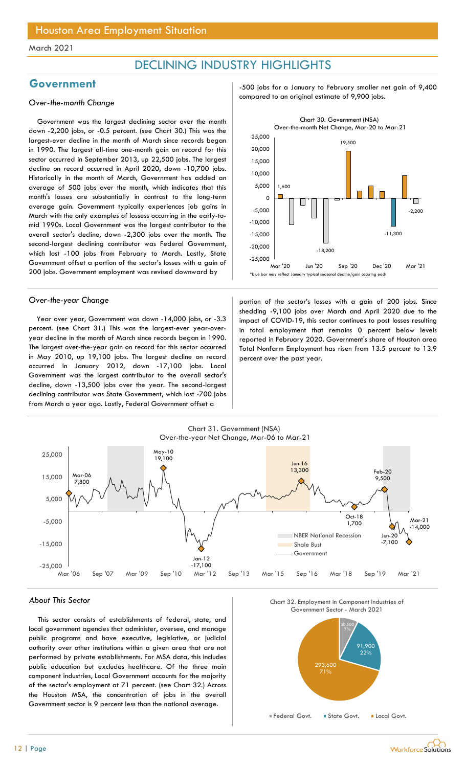## DECLINING INDUSTRY HIGHLIGHTS

Government was the largest declining sector over the month down -2,200 jobs, or -0.5 percent. (see Chart 30.) This was the largest-ever decline in the month of March since records began in 1990. The largest all-time one-month gain on record for this sector occurred in September 2013, up 22,500 jobs. The largest decline on record occurred in April 2020, down -10,700 jobs. Historically in the month of March, Government has added an average of 500 jobs over the month, which indicates that this month's losses are substantially in contrast to the long-term average gain. Government typically experiences job gains in March with the only examples of lossess occurring in the early-tomid 1990s. Local Government was the largest contributor to the overall sector's decline, down -2,300 jobs over the month. The second-largest declining contributor was Federal Government, which lost -100 jobs from February to March. Lastly, State Government offset a portion of the sector's losses with a gain of 200 jobs. Government employment was revised downward by

Year over year, Government was down -14,000 jobs, or -3.3 percent. (see Chart 31.) This was the largest-ever year-overyear decline in the month of March since records began in 1990. The largest over-the-year gain on record for this sector occurred in May 2010, up 19,100 jobs. The largest decline on record occurred in January 2012, down -17,100 jobs. Local Government was the largest contributor to the overall sector's decline, down -13,500 jobs over the year. The second-largest declining contributor was State Government, which lost -700 jobs from March a year ago. Lastly, Federal Government offset a

Government **Government** Figure 1, 1990 is to a January to February smaller net gain of 9,400 compared to an original estimate of 9,900 jobs. Over-the-month Change



Over-the-year Change **portion** portion of the sector's losses with a gain of 200 jobs. Since shedding -9,100 jobs over March and April 2020 due to the impact of COVID-19, this sector continues to post losses resulting in total employment that remains 0 percent below levels reported in February 2020. Government's share of Houston area Total Nonfarm Employment has risen from 13.5 percent to 13.9 percent over the past year.



### About This Sector

This sector consists of establishments of federal, state, and local government agencies that administer, oversee, and manage public programs and have executive, legislative, or judicial authority over other institutions within a given area that are not performed by private establishments. For MSA data, this includes public education but excludes healthcare. Of the three main component industries, Local Government accounts for the majority of the sector's employment at 71 percent. (see Chart 32.) Across the Houston MSA, the concentration of jobs in the overall Government sector is 9 percent less than the national average.





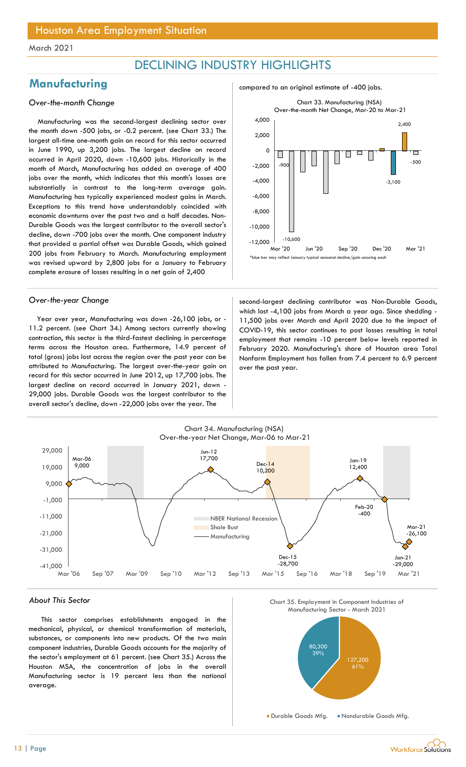## DECLINING INDUSTRY HIGHLIGHTS

## Manufacturing and compared to an original estimate of -400 jobs.

### Over-the-month Change

Manufacturing was the second-largest declining sector over the month down -500 jobs, or -0.2 percent. (see Chart 33.) The largest all-time one-month gain on record for this sector occurred in June 1990, up 3,200 jobs. The largest decline on record occurred in April 2020, down -10,600 jobs. Historically in the month of March, Manufacturing has added an average of 400 jobs over the month, which indicates that this month's losses are substantially in contrast to the long-term average gain. Manufacturing has typically experienced modest gains in March. Exceptions to this trend have understandably coincided with economic downturns over the past two and a half decades. Non-Durable Goods was the largest contributor to the overall sector's decline, down -700 jobs over the month. One component industry that provided a partial offset was Durable Goods, which gained 200 jobs from February to March. Manufacturing employment was revised upward by 2,800 jobs for a January to February complete erasure of losses resulting in a net gain of 2,400

Year over year, Manufacturing was down -26,100 jobs, or - 11.2 percent. (see Chart 34.) Among sectors currently showing contraction, this sector is the third-fastest declining in percentage terms across the Houston area. Furthermore, 14.9 percent of total (gross) jobs lost across the region over the past year can be attributed to Manufacturing. The largest over-the-year gain on record for this sector occurred in June 2012, up 17,700 jobs. The largest decline on record occurred in January 2021, down - 29,000 jobs. Durable Goods was the largest contributor to the overall sector's decline, down -22,000 jobs over the year. The



Over-the-year Change second-largest declining contributor was Non-Durable Goods, which lost -4,100 jobs from March a year ago. Since shedding -11,500 jobs over March and April 2020 due to the impact of COVID-19, this sector continues to post losses resulting in total employment that remains -10 percent below levels reported in February 2020. Manufacturing's share of Houston area Total Nonfarm Employment has fallen from 7.4 percent to 6.9 percent over the past year.



### About This Sector

This sector comprises establishments engaged in the mechanical, physical, or chemical transformation of materials, substances, or components into new products. Of the two main component industries, Durable Goods accounts for the majority of the sector's employment at 61 percent. (see Chart 35.) Across the Houston MSA, the concentration of jobs in the overall Manufacturing sector is 19 percent less than the national average.





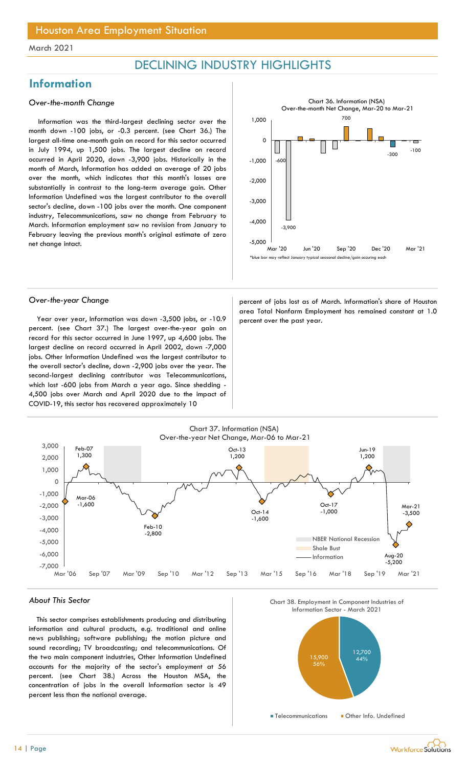## DECLINING INDUSTRY HIGHLIGHTS

## **Information**

### Over-the-month Change

Information was the third-largest declining sector over the month down -100 jobs, or -0.3 percent. (see Chart 36.) The largest all-time one-month gain on record for this sector occurred in July 1994, up 1,500 jobs. The largest decline on record occurred in April 2020, down -3,900 jobs. Historically in the month of March, Information has added an average of 20 jobs over the month, which indicates that this month's losses are substantially in contrast to the long-term average gain. Other Information Undefined was the largest contributor to the overall sector's decline, down -100 jobs over the month. One component industry, Telecommunications, saw no change from February to March. Information employment saw no revision from January to February leaving the previous month's original estimate of zero net change intact.



Year over year, Information was down -3,500 jobs, or  $-10.9$  percent over the past year. percent. (see Chart 37.) The largest over-the-year gain on record for this sector occurred in June 1997, up 4,600 jobs. The largest decline on record occurred in April 2002, down -7,000 jobs. Other Information Undefined was the largest contributor to the overall sector's decline, down -2,900 jobs over the year. The second-largest declining contributor was Telecommunications, which lost -600 jobs from March a year ago. Since shedding - 4,500 jobs over March and April 2020 due to the impact of COVID-19, this sector has recovered approximately 10

Over-the-year Change entity and the percent of jobs lost as of March. Information's share of Houston area Total Nonfarm Employment has remained constant at 1.0



### About This Sector

This sector comprises establishments producing and distributing information and cultural products, e.g. traditional and online news publishing; software publishing; the motion picture and sound recording; TV broadcasting; and telecommunications. Of the two main component industries, Other Information Undefined accounts for the majority of the sector's employment at 56 percent. (see Chart 38.) Across the Houston MSA, the concentration of jobs in the overall Information sector is 49 percent less than the national average.





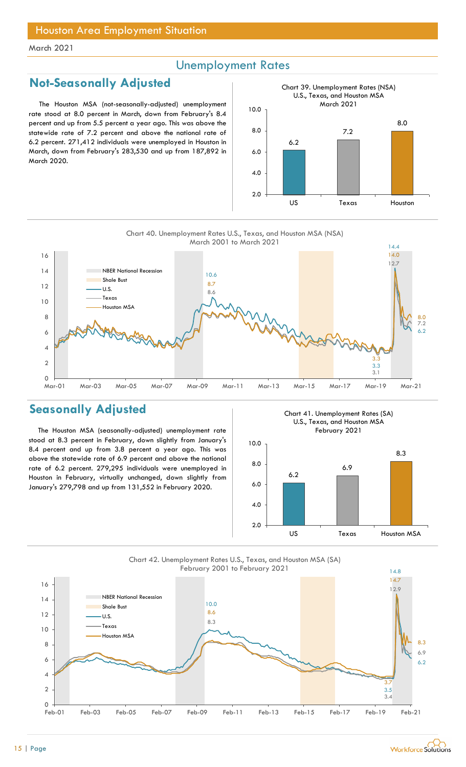## Unemployment Rates

## Not-Seasonally Adjusted

The Houston MSA (not-seasonally-adjusted) unemployment rate stood at 8.0 percent in March, down from February's 8.4 percent and up from 5.5 percent a year ago. This was above the statewide rate of 7.2 percent and above the national rate of 6.2 percent. 271,412 individuals were unemployed in Houston in March, down from February's 283,530 and up from 187,892 in March 2020.



10.6 14.4 8.6 and the contract of the contract of the contract of the contract of the contract of the contract of the co 12.7 8.7 **Samuel Advisory Services Services Contract Contract of Services Contract Contract Contract Contract Contract Contract Contract Contract Contract Contract Contract Contract Contract Contract Contract Contract Con** 14.0  $6 \frac{1}{2}$  $8$  |  $\blacksquare$  $\overline{10}$   $\overline{10}$   $\overline{10}$   $\overline{10}$   $\overline{10}$   $\overline{10}$   $\overline{10}$   $\overline{10}$   $\overline{10}$   $\overline{10}$   $\overline{10}$   $\overline{10}$   $\overline{10}$   $\overline{10}$   $\overline{10}$   $\overline{10}$   $\overline{10}$   $\overline{10}$   $\overline{10}$   $\overline{10}$   $\overline{10}$   $\overline{10}$   $\frac{12}{2}$   $\frac{12}{2}$   $\frac{12}{2}$   $\frac{12}{2}$   $\frac{12}{2}$   $\frac{12}{2}$   $\frac{12}{2}$   $\frac{12}{2}$   $\frac{12}{2}$   $\frac{12}{2}$   $\frac{12}{2}$   $\frac{12}{2}$   $\frac{12}{2}$   $\frac{12}{2}$   $\frac{12}{2}$   $\frac{12}{2}$   $\frac{12}{2}$   $\frac{12}{2}$   $\frac{12}{2}$   $\frac{12}{2}$  14 NBER National Recession 2016  $\overline{16}$   $\overline{16}$   $\overline{16}$   $\overline{16}$   $\overline{16}$   $\overline{16}$   $\overline{16}$   $\overline{16}$   $\overline{16}$   $\overline{16}$   $\overline{16}$   $\overline{16}$   $\overline{16}$   $\overline{16}$   $\overline{16}$   $\overline{16}$   $\overline{16}$   $\overline{16}$   $\overline{16}$   $\overline{16}$   $\overline{16}$   $\overline{16}$  Charl 40. Unemployment Rates U.S., Texas, and Houston MSA (NSA)<br>
March 2001 to March 2021<br>
March 2001 to March 2021<br>
March 2001 to March 2021<br>
These<br>
Shows Mar-03 Mar-05 Mar-07 Mar-09 Mar-11 Mar-13 Mar-15 Mar-17 Mar-19 Ma Chart 40. Unemployment Rates U.S., Texas, and Houston MSA (NSA) March 2001 to March 2021 Shale Bust U.S. Texas Houston MSA

## Seasonally Adjusted

The Houston MSA (seasonally-adjusted) unemployment rate stood at 8.3 percent in February, down slightly from January's 8.4 percent and up from 3.8 percent a year ago. This was above the statewide rate of 6.9 percent and above the national rate of 6.2 percent. 279,295 individuals were unemployed in Houston in February, virtually unchanged, down slightly from January's 279,798 and up from 131,552 in February 2020.

0

2 |  $\blacksquare$ 

 $4 \times 4$ 

Chart 41. Unemployment Rates (SA) U.S., Texas, and Houston MSA February 2021







3.3

3.3

3.1

6.2

7.2

8.0